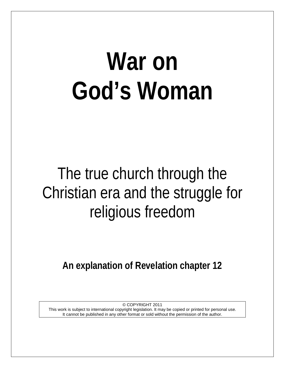# **War on God's Woman**

## The true church through the Christian era and the struggle for religious freedom

**An explanation of Revelation chapter 12**

© COPYRIGHT 2011 This work is subject to international copyright legislation. It may be copied or printed for personal use. It cannot be published in any other format or sold without the permission of the author.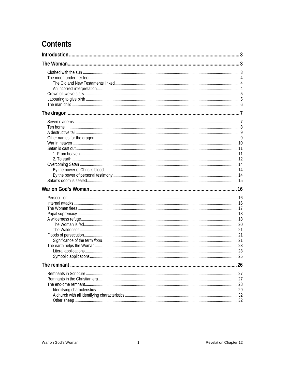## **Contents**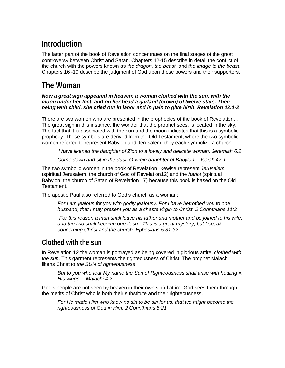## <span id="page-3-0"></span>**Introduction**

The latter part of the book of Revelation concentrates on the final stages of the great controversy between Christ and Satan. Chapters 12-15 describe in detail the conflict of the church with the powers known as *the dragon, the beast,* and *the image to the beast*. Chapters 16 -19 describe the judgment of God upon these powers and their supporters.

## <span id="page-3-1"></span>**The Woman**

#### *Now a great sign appeared in heaven: a woman clothed with the sun, with the moon under her feet, and on her head a garland (crown) of twelve stars. Then being with child, she cried out in labor and in pain to give birth. Revelation 12:1-2*

There are two women who are presented in the prophecies of the book of Revelation. . The great sign in this instance, the wonder that the prophet sees, is located in the sky. The fact that it is associated with the sun and the moon indicates that this is a symbolic prophecy. These symbols are derived from the Old Testament, where the two symbolic women referred to represent Babylon and Jerusalem: they each symbolize a church.

*I have likened the daughter of Zion to a lovely and delicate woman. Jeremiah 6:2*

*Come down and sit in the dust, O virgin daughter of Babylon… Isaiah 47:1*

The two symbolic women in the book of Revelation likewise represent *Jerusalem* (spiritual Jerusalem, the church of God of Revelation12) and the *harlot* (spiritual Babylon, the church of Satan of Revelation 17) because this book is based on the Old Testament.

The apostle Paul also referred to God's church as a woman:

*For I am jealous for you with godly jealousy. For I have betrothed you to one husband, that I may present you as a chaste virgin to Christ. 2 Corinthians 11:2*

*"For this reason a man shall leave his father and mother and be joined to his wife, and the two shall become one flesh." This is a great mystery, but I speak concerning Christ and the church. Ephesians 5:31-32*

## <span id="page-3-2"></span>**Clothed with the sun**

In Revelation 12 the woman is portrayed as being covered in glorious attire, *clothed with the sun*. This garment represents the righteousness of Christ. The prophet Malachi likens Christ to *the SUN of righteousness*.

*But to you who fear My name the Sun of Righteousness shall arise with healing in His wings… Malachi 4:2*

God's people are not seen by heaven in their own sinful attire. God sees them through the merits of Christ who is both their substitute and their righteousness.

*For He made Him who knew no sin to be sin for us, that we might become the righteousness of God in Him. 2 Corinthians 5:21*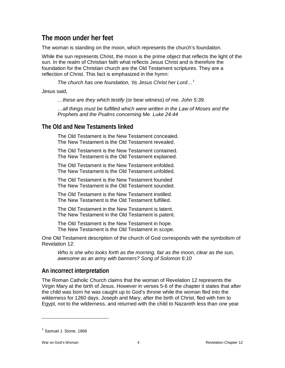## <span id="page-4-0"></span>**The moon under her feet**

The woman is standing on the moon, which represents the church's foundation.

While the sun represents Christ, the moon is the prime object that reflects the light of the sun. In the realm of Christian faith what reflects Jesus Christ and is therefore the foundation for the Christian church are the Old Testament scriptures. They are a reflection of Christ. This fact is emphasized in the hymn:

*The church has one foundation, 'tis Jesus Christ her Lord…[1](#page-4-3)*

Jesus said,

*…these are they which testify* (or bear witness) *of me. John 5:39.*

*…all things must be fulfilled which were written in the Law of Moses and the Prophets and the Psalms concerning Me. Luke 24:44*

#### <span id="page-4-1"></span>**The Old and New Testaments linked**

The Old Testament is the New Testament concealed. The New Testament is the Old Testament revealed.

The Old Testament is the New Testament contained. The New Testament is the Old Testament explained.

The Old Testament is the New Testament enfolded. The New Testament is the Old Testament unfolded.

The Old Testament is the New Testament founded The New Testament is the Old Testament sounded.

The Old Testament is the New Testament instilled. The New Testament is the Old Testament fulfilled.

The Old Testament in the New Testament is latent. The New Testament in the Old Testament is patent.

The Old Testament is the New Testament in hope. The New Testament is the Old Testament in scope.

One Old Testament description of the church of God corresponds with the symbolism of Revelation 12:

*Who is she who looks forth as the morning, fair as the moon, clear as the sun, awesome as an army with banners? Song of Solomon 6:10*

## <span id="page-4-2"></span>**An incorrect interpretation**

The Roman Catholic Church claims that the woman of Revelation 12 represents the Virgin Mary at the birth of Jesus. However in verses 5-6 of the chapter it states that after the child was born he was caught up to God's throne while the woman fled into the wilderness for 1260 days. Joseph and Mary, after the birth of Christ, fled with him to Egypt, not to the wilderness, and returned with the child to Nazareth less than one year

<span id="page-4-3"></span> $<sup>1</sup>$  Samuel J. Stone, 1866</sup>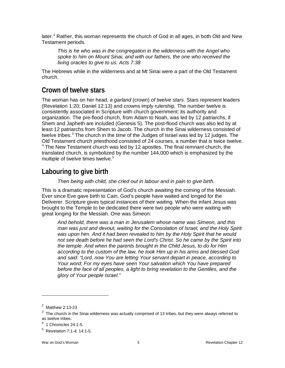later.<sup>[2](#page-5-2)</sup> Rather, this woman represents the church of God in all ages, in both Old and New Testament periods.

*This is he who was in the congregation in the wilderness with the Angel who spoke to him on Mount Sinai, and with our fathers, the one who received the living oracles to give to us. Acts 7:38*

The Hebrews while in the wilderness and at Mt Sinai were a part of the Old Testament church.

## <span id="page-5-0"></span>**Crown of twelve stars**

The woman has on her head, *a garland* (crown) *of twelve stars*. Stars represent leaders (Revelation 1:20; Daniel 12:13) and crowns imply rulership. The number twelve is consistently associated in Scripture with church government: its authority and organization. The pre-flood church, from Adam to Noah, was led by 12 patriarchs, if Shem and Japheth are included (Genesis 5). The post-flood church was also led by at least 12 patriarchs from Shem to Jacob. The church in the Sinai wilderness consisted of twelve tribes.<sup>[3](#page-5-3)</sup> The church in the time of the Judges of Israel was led by 12 judges. The Old Testament church priesthood consisted of 24 courses, a number that is twice twelve.  $4$  The New Testament church was led by 12 apostles. The final remnant church, the translated church, is symbolized by the number 144,000 which is emphasized by the multiple of twelve times twelve.<sup>[5](#page-5-5)</sup>

## <span id="page-5-1"></span>**Labouring to give birth**

*Then being with child, she cried out in labour and in pain to give birth.* 

This is a dramatic representation of God's church awaiting the coming of the Messiah. Ever since Eve gave birth to Cain, God's people have waited and longed for the Deliverer. Scripture gives typical instances of their waiting. When the infant Jesus was brought to the Temple to be dedicated there were two people who were waiting with great longing for the Messiah. One was Simeon:

*And behold, there was a man in Jerusalem whose name was Simeon, and this man was just and devout, waiting for the Consolation of Israel, and the Holy Spirit was upon him. And it had been revealed to him by the Holy Spirit that he would not see death before he had seen the Lord's Christ. So he came by the Spirit into the temple. And when the parents brought in the Child Jesus, to do for Him according to the custom of the law, he took Him up in his arms and blessed God and said: "Lord, now You are letting Your servant depart in peace, according to Your word; For my eyes have seen Your salvation which You have prepared*  before the face of all peoples, a light to bring revelation to the Gentiles, and the *glory of Your people Israel."* 

<span id="page-5-2"></span> $2$  Matthew 2:13-23

<span id="page-5-3"></span> $3$  The church in the Sinai wilderness was actually comprised of 13 tribes, but they were always referred to as twelve tribes.

 $4$  1 Chronicles 24:1-5.

<span id="page-5-5"></span><span id="page-5-4"></span><sup>5</sup> Revelation 7:1-4; 14:1-5.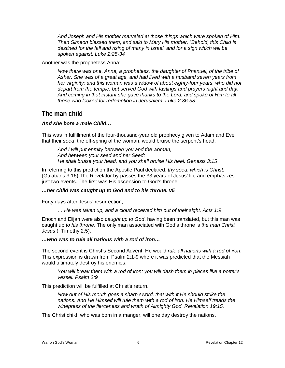*And Joseph and His mother marveled at those things which were spoken of Him. Then Simeon blessed them, and said to Mary His mother, "Behold, this Child is destined for the fall and rising of many in Israel, and for a sign which will be spoken against. Luke 2:25-34*

Another was the prophetess Anna:

*Now there was one, Anna, a prophetess, the daughter of Phanuel, of the tribe of Asher. She was of a great age, and had lived with a husband seven years from her virginity; and this woman was a widow of about eighty-four years, who did not depart from the temple, but served God with fastings and prayers night and day. And coming in that instant she gave thanks to the Lord, and spoke of Him to all those who looked for redemption in Jerusalem. Luke 2:36-38* 

## <span id="page-6-0"></span>**The man child**

#### *And she bore a male Child…*

This was in fulfillment of the four-thousand-year old prophecy given to Adam and Eve that their *seed*, the off-spring of the woman, would bruise the serpent's head.

*And I will put enmity between you and the woman, And between your seed and her Seed; He shall bruise your head, and you shall bruise His heel. Genesis 3:15*

In referring to this prediction the Apostle Paul declared, *thy seed, which is Christ*. (Galatians 3:16) The Revelator by-passes the 33 years of Jesus' life and emphasizes just two events. The first was His ascension to God's throne.

#### *…her child was caught up to God and to his throne. v5*

Forty days after Jesus' resurrection,

*… He was taken up, and a cloud received him out of their sight. Acts 1:9*

Enoch and Elijah were also *caught up to God*, having been translated, but this man was caught up *to his throne*. The only man associated with God's throne is *the man Christ Jesus* (I Timothy 2:5).

#### *…who was to rule all nations with a rod of iron…*

The second event is Christ's Second Advent. He would *rule all nations with a rod of iron*. This expression is drawn from Psalm 2:1-9 where it was predicted that the Messiah would ultimately destroy his enemies.

*You will break them with a rod of iron; you will dash them in pieces like a potter's vessel. Psalm 2:9*

This prediction will be fulfilled at Christ's return.

*Now out of His mouth goes a sharp sword, that with it He should strike the nations. And He Himself will rule them with a rod of iron. He Himself treads the winepress of the fierceness and wrath of Almighty God. Revelation 19:15.*

The Christ child, who was born in a manger, will one day destroy the nations.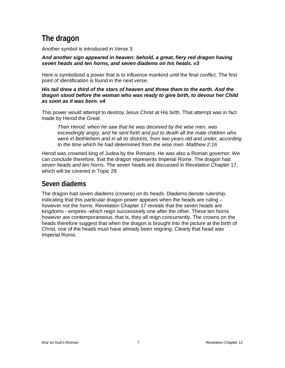## <span id="page-7-0"></span>**The dragon**

Another symbol is introduced in Verse 3:

*And another sign appeared in heaven: behold, a great, fiery red dragon having seven heads and ten horns, and seven diadems on his heads. v3*

Here is symbolized a power that is to influence mankind until the final conflict. The first point of identification is found in the next verse.

#### *His tail drew a third of the stars of heaven and threw them to the earth. And the dragon stood before the woman who was ready to give birth, to devour her Child as soon as it was born. v4*

This power would attempt to destroy Jesus Christ at His birth. That attempt was in fact made by Herod the Great.

*Then Herod, when he saw that he was deceived by the wise men, was exceedingly angry; and he sent forth and put to death all the male children who were in Bethlehem and in all its districts, from two years old and under, according to the time which he had determined from the wise men. Matthew 2:16*

Herod was crowned king of Judea by the Romans. He was also a Roman governor. We can conclude therefore, that the dragon represents Imperial Rome. The dragon had *seven heads and ten horns*. The seven heads are discussed in Revelation Chapter 17, which will be covered in Topic 29.

## <span id="page-7-1"></span>**Seven diadems**

<span id="page-7-2"></span>The dragon had *seven diadems* (crowns) *on its heads*. Diadems denote rulership, indicating that this particular dragon power appears when the heads are ruling – however not the horns. Revelation Chapter 17 reveals that the seven heads are kingdoms - empires -which reign successively one after the other. These ten horns however are contemporaneous, that is, they all reign concurrently. The crowns on the heads therefore suggest that when the dragon is brought into the picture at the birth of Christ, one of the heads must have already been reigning. Clearly that head was Imperial Rome.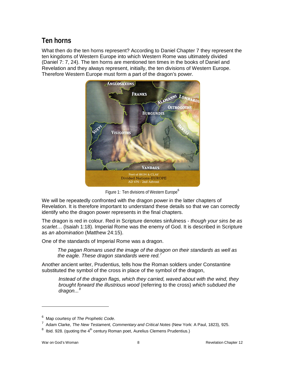## **Ten horns**

What then do the ten horns represent? According to Daniel Chapter 7 they represent the ten kingdoms of Western Europe into which Western Rome was ultimately divided (Daniel 7: 7, 24). The ten horns are mentioned ten times in the books of Daniel and Revelation and they always represent, initially, the ten divisions of Western Europe. Therefore Western Europe must form a part of the dragon's power.



Figure 1: Ten divisions of Western Europe<sup>[6](#page-8-0)</sup>

We will be repeatedly confronted with the dragon power in the latter chapters of Revelation. It is therefore important to understand these details so that we can correctly identify who the dragon power represents in the final chapters.

The dragon is red in colour. Red in Scripture denotes sinfulness - *though your sins be as scarlet*… (Isaiah 1:18). Imperial Rome was the enemy of God. It is described in Scripture as *an abomination* (Matthew 24:15).

One of the standards of Imperial Rome was a dragon.

*The pagan Romans used the image of the dragon on their standards as well as the eagle. These dragon standards were red.[7](#page-8-1)*

Another ancient writer, Prudentius, tells how the Roman soldiers under Constantine substituted the symbol of the cross in place of the symbol of the dragon,

*Instead of the dragon flags, which they carried, waved about with the wind, they brought forward the illustrious wood* (referring to the cross) *which subdued the dragon...[8](#page-8-2)*

<span id="page-8-0"></span><sup>6</sup> Map courtesy of *The Prophetic Code*.

<span id="page-8-1"></span><sup>&</sup>lt;sup>7</sup> Adam Clarke, *The New Testament, Commentary and Critical Notes* (New York: A Paul, 1823), 925.

<span id="page-8-2"></span> $^8$  Ibid. 928. (quoting the 4<sup>th</sup> century Roman poet, Aurelius Clemens Prudentius.)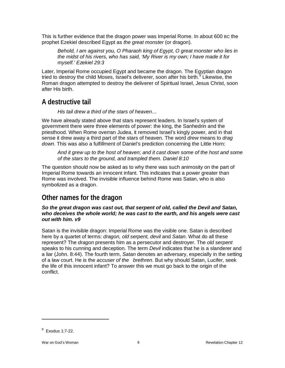This is further evidence that the dragon power was Imperial Rome. In about 600 BC the prophet Ezekiel described Egypt as *the great monster* (or dragon).

*Behold, I am against you, O Pharaoh king of Egypt, O great monster who lies in the midst of his rivers, who has said, 'My River is my own; I have made it for myself.' Ezekiel 29:3*

Later, Imperial Rome occupied Egypt and became the dragon. The Egyptian dragon tried to destroy the child Moses, Israel's deliverer, soon after his birth. $9$  Likewise, the Roman dragon attempted to destroy the deliverer of Spiritual Israel, Jesus Christ, soon after His birth.

## <span id="page-9-0"></span>**A destructive tail**

*His tail drew a third of the stars of heaven…*

We have already stated above that stars represent leaders. In Israel's system of government there were three elements of power: the king, the Sanhedrin and the priesthood. When Rome overran Judea, it removed Israel's kingly power, and in that sense it drew away a third part of the stars of heaven. The word *drew* means to *drag down*. This was also a fulfillment of Daniel's prediction concerning the Little Horn:

*And it grew up to the host of heaven; and it cast down some of the host and some of the stars to the ground, and trampled them. Daniel 8:10*

The question should now be asked as to why there was such animosity on the part of Imperial Rome towards an innocent infant. This indicates that a power greater than Rome was involved. The invisible influence behind Rome was Satan, who is also symbolized as a dragon.

## <span id="page-9-1"></span>**Other names for the dragon**

#### *So the great dragon was cast out, that serpent of old, called the Devil and Satan, who deceives the whole world; he was cast to the earth, and his angels were cast out with him. v9*

<span id="page-9-2"></span>Satan is the invisible dragon: Imperial Rome was the visible one. Satan is described here by a quartet of terms: *dragon, old serpent, devil* and *Satan*. What do all these represent? The *dragon* presents him as a persecutor and destroyer. The *old serpent* speaks to his cunning and deception. The term *Devil* indicates that he is a slanderer and a liar (John. 8:44). The fourth term, *Satan* denotes an adversary, especially in the setting of a law court. He is the *accuser of the brethren*. But why should Satan, Lucifer, seek the life of this innocent infant? To answer this we must go back to the origin of the conflict.

<span id="page-9-3"></span> $^9$  Exodus 1:7-22.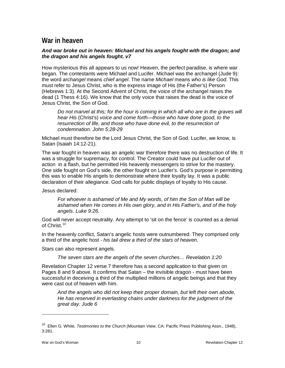## **War in heaven**

#### *And war broke out in heaven: Michael and his angels fought with the dragon; and the dragon and his angels fought. v7*

How mysterious this all appears to us now! Heaven, the perfect paradise, is where war began. The contestants were Michael and Lucifer. Michael was the archangel (Jude 9): the word *archangel* means *chief angel*. The name *Michael* means *who is like God*. This must refer to Jesus Christ, who is the express image of His (the Father's) Person (Hebrews 1:3). At the Second Advent of Christ, the voice of the archangel raises the dead (1 Thess 4:16). We know that the only voice that raises the dead is the voice of Jesus Christ, the Son of God.

*Do not marvel at this; for the hour is coming in which all who are in the graves will hear His* (Christ's) *voice and come forth—those who have done good, to the*  resurrection of life, and those who have done evil, to the resurrection of *condemnation. John 5:28-29*

Michael must therefore be the Lord Jesus Christ, the Son of God. Lucifer, we know, is Satan (Isaiah 14:12-21).

The war fought in heaven was an angelic war therefore there was no destruction of life. It was a struggle for supremacy, for control. The Creator could have put Lucifer out of action in a flash, but he permitted His heavenly messengers to strive for the mastery. One side fought on God's side, the other fought on Lucifer's. God's purpose in permitting this was to enable His angels to demonstrate where their loyalty lay. It was a public declaration of their allegiance. God calls for public displays of loyalty to His cause.

Jesus declared:

*For whoever is ashamed of Me and My words, of him the Son of Man will be ashamed when He comes in His own glory, and in His Father's, and of the holy angels. Luke 9:26.*

God will never accept neutrality. Any attempt to 'sit on the fence' is counted as a denial of Christ.<sup>[10](#page-10-0)</sup>

In the heavenly conflict, Satan's angelic hosts were outnumbered. They comprised only a third of the angelic host - *his tail drew a third of the stars of heaven*.

Stars can also represent angels.

*The seven stars are the angels of the seven churches… Revelation 1:20*

Revelation Chapter 12 verse 7 therefore has a second application to that given on Pages 8 and 9 above. It confirms that Satan – the invisible dragon - must have been successful in deceiving a third of the multiplied millions of angelic beings and that they were cast out of heaven with him.

*And the angels who did not keep their proper domain, but left their own abode, He has reserved in everlasting chains under darkness for the judgment of the great day. Jude 6*

<span id="page-10-0"></span><sup>10</sup> Ellen G. White, *Testimonies to the Church* (Mountain View, CA: Pacific Press Publishing Assn., 1948), 3:281.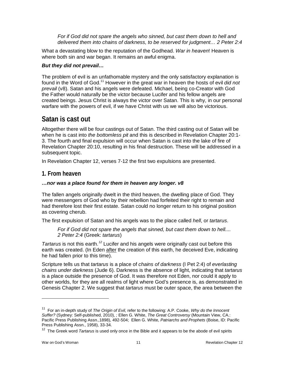For if God did not spare the angels who sinned, but cast them down to hell and *delivered them into chains of darkness, to be reserved for judgment… 2 Peter 2:4*

What a devastating blow to the reputation of the Godhead. *War in heaven*! Heaven is where both sin and war began. It remains an awful enigma.

#### *But they did not prevail…*

The problem of evil is an unfathomable mystery and the only satisfactory explanation is found in the Word of God.[11](#page-11-2) However in the great war in heaven the hosts of evil *did not prevail* (v8). Satan and his angels were defeated. Michael, being co-Creator with God the Father would naturally be the victor because Lucifer and his fellow angels are created beings. Jesus Christ is always the victor over Satan. This is why, in our personal warfare with the powers of evil, if we have Christ with us we will also be victorious.

## <span id="page-11-0"></span>**Satan is cast out**

Altogether there will be four castings out of Satan. The third casting out of Satan will be when he is cast into *the bottomless pit* and this is described in Revelation Chapter 20:1- 3. The fourth and final expulsion will occur when Satan is cast into the lake of fire of Revelation Chapter 20:10, resulting in his final destruction. These will be addressed in a subsequent topic.

In Revelation Chapter 12, verses 7-12 the first two expulsions are presented.

#### <span id="page-11-1"></span>**1. From heaven**

#### *…nor was a place found for them in heaven any longer. v8*

The fallen angels originally dwelt in the third heaven, the dwelling place of God. They were messengers of God who by their rebellion had forfeited their right to remain and had therefore lost their first estate. Satan could no longer return to his original position as covering cherub.

The first expulsion of Satan and his angels was to the place called *hell*, or *tartarus*.

*For if God did not spare the angels that sinned, but cast them down to hell.... 2 Peter 2:4* (Greek: *tartarus*)

*Tartarus* is not this earth.*[12](#page-11-3)* Lucifer and his angels were originally cast out before this earth was created. (In Eden after the creation of this earth, he deceived Eve, indicating he had fallen prior to this time).

Scripture tells us that *tartarus* is a place of *chains of darkness* (I Pet 2:4) of *everlasting chains under darkness* (Jude 6). Darkness is the absence of light, indicating that *tartarus* is a place outside the presence of God. It was therefore not Eden, nor could it apply to other worlds, for they are all realms of light where God's presence is, as demonstrated in Genesis Chapter 2. We suggest that *tartarus* must be outer space, the area between the

<span id="page-11-2"></span><sup>11</sup> For an in-depth study of *The Origin of Evil*, refer to the following: A.P. Cooke, *Why do the Innocent Suffer?* (Sydney: Self-published, 2010), *;* Ellen G. White, *The Great Controversy* (Mountain View, CA.: Pacific Press Publishing Assn.,1898), 492-504; Ellen G. White, *Patriarchs and Prophets* (Boise, ID: Pacific Press Publishing Assn., 1958), 33-34.

<span id="page-11-3"></span><sup>&</sup>lt;sup>12</sup> The Greek word *Tartarus* is used only once in the Bible and it appears to be the abode of evil spirits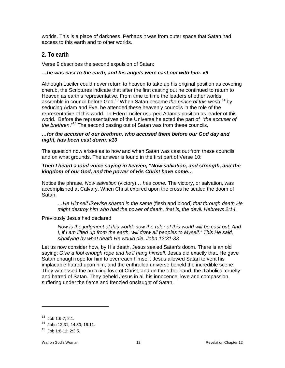worlds. This is a place of darkness. Perhaps it was from outer space that Satan had access to this earth and to other worlds.

## <span id="page-12-0"></span>**2. To earth**

Verse 9 describes the second expulsion of Satan:

#### *…he was cast to the earth, and his angels were cast out with him. v9*

Although Lucifer could never return to heaven to take up his original position as covering cherub, the Scriptures indicate that after the first casting out he continued to return to Heaven as earth's representative. From time to time the leaders of other worlds assemble in council before God.<sup>[13](#page-12-1)</sup> When Satan became *the prince of this world*,<sup>[14](#page-12-2)</sup> by seducing Adam and Eve, he attended these heavenly councils in the role of the representative of this world. In Eden Lucifer usurped Adam's position as leader of this world. Before the representatives of the Universe he acted the part of "*the accuser of the brethren*." [15](#page-12-3) The second casting out of Satan was from these councils.

#### *…for the accuser of our brethren, who accused them before our God day and night, has been cast down. v10*

The question now arises as to how and when Satan was cast out from these councils and on what grounds. The answer is found in the first part of Verse 10:

#### *Then I heard a loud voice saying in heaven, "Now salvation, and strength, and the kingdom of our God, and the power of His Christ have come…*

Notice the phrase, *Now salvation* (victory)*… has come.* The victory, or salvation, was accomplished at Calvary. When Christ expired upon the cross he sealed the doom of Satan.

*…He Himself likewise shared in the same* (flesh and blood) *that through death He might destroy him who had the power of death, that is, the devil. Hebrews 2:14.*

Previously Jesus had declared

*Now is the judgment of this world; now the ruler of this world will be cast out. And I, if I am lifted up from the earth, will draw all peoples to Myself." This He said, signifying by what death He would die. John 12:31-33*

Let us now consider how, by His death, Jesus sealed Satan's doom. There is an old saying: *Give a fool enough rope and he'll hang himself*. Jesus did exactly that. He gave Satan enough rope for him to overreach himself. Jesus allowed Satan to vent his implacable hatred upon him, and the enthralled universe beheld the incredible scene. They witnessed the amazing love of Christ, and on the other hand, the diabolical cruelty and hatred of Satan. They beheld Jesus in all his innocence, love and compassion, suffering under the fierce and frenzied onslaught of Satan.

 $13$  Job 1:6-7: 2:1.

<span id="page-12-2"></span><span id="page-12-1"></span><sup>14</sup> John 12:31; 14:30; 16:11.

<span id="page-12-3"></span> $15$  Job 1:8-11; 2:3,5.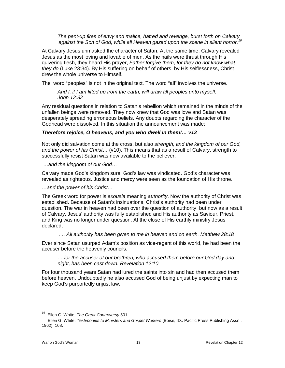*The pent-up fires of envy and malice, hatred and revenge, burst forth on Calvary against the Son of God, while all Heaven gazed upon the scene in silent horror.[16](#page-13-0)*

At Calvary Jesus unmasked the character of Satan. At the same time, Calvary revealed Jesus as the most loving and lovable of men. As the nails were thrust through His quivering flesh, they heard His prayer, *Father forgive them, for they do not know what they do* (Luke 23:34). By His suffering on behalf of others, by His selflessness, Christ drew the whole universe to Himself.

The word "peoples" is not in the original text. The word "all" involves the universe.

*And I, if I am lifted up from the earth, will draw all peoples unto myself. John 12:32*

Any residual questions in relation to Satan's rebellion which remained in the minds of the unfallen beings were removed. They now knew that God was love and Satan was desperately spreading erroneous beliefs. Any doubts regarding the character of the Godhead were dissolved. In this situation the announcement was made:

#### *Therefore rejoice, O heavens, and you who dwell in them!… v12*

Not only did salvation come at the cross, but also *strength, and the kingdom of our God, and the power of his Christ*… (v10). This means that as a result of Calvary, strength to successfully resist Satan was now available to the believer.

…a*nd the kingdom of our God*…

Calvary made God's kingdom sure. God's law was vindicated. God's character was revealed as righteous. Justice and mercy were seen as the foundation of His throne.

*…and the power of his Christ…*

The Greek word for power is *exousia* meaning *authority*. Now the authority of Christ was established. Because of Satan's insinuations, Christ's authority had been under question. The war in heaven had been over the question of authority, but now as a result of Calvary, Jesus' authority was fully established and His authority as Saviour, Priest, and King was no longer under question. At the close of His earthly ministry Jesus declared,

#### *…. All authority has been given to me in heaven and on earth. Matthew 28:18*

Ever since Satan usurped Adam's position as vice-regent of this world, he had been the accuser before the heavenly councils.

*… for the accuser of our brethren, who accused them before our God day and night, has been cast down. Revelation 12:10*

For four thousand years Satan had lured the saints into sin and had then accused them before heaven. Undoubtedly he also accused God of being unjust by expecting man to keep God's purportedly unjust law.

<span id="page-13-0"></span><sup>16</sup> Ellen G. White, *The Great Controversy* 501.

Ellen G. White, *Testimonies to Ministers and Gospel Workers* (Boise, ID.: Pacific Press Publishing Assn., 1962), 168.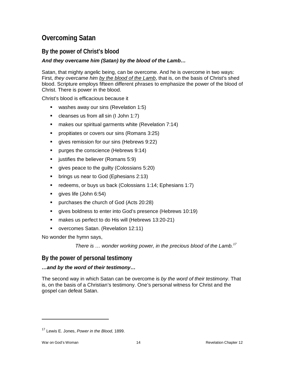## <span id="page-14-0"></span>**Overcoming Satan**

## <span id="page-14-1"></span>**By the power of Christ's blood**

#### *And they overcame him (Satan) by the blood of the Lamb…*

Satan, that mighty angelic being, can be overcome. And he is overcome in two ways: First, *they overcame him by the blood of the Lamb*, that is, on the basis of Christ's shed blood. Scripture employs fifteen different phrases to emphasize the power of the blood of Christ. There is power in the blood.

Christ's blood is efficacious because it

- **washes away our sins (Revelation 1:5)**
- cleanses us from all sin (I John 1:7)
- **numakes our spiritual garments white (Revelation 7:14)**
- **Peropitiates or covers our sins (Romans 3:25)**
- **qives remission for our sins (Hebrews 9:22)**
- **Purges the conscience (Hebrews 9:14)**
- $\blacksquare$  justifies the believer (Romans 5:9)
- **gives peace to the guilty (Colossians 5:20)**
- **•** brings us near to God (Ephesians 2:13)
- redeems, or buys us back (Colossians 1:14; Ephesians 1:7)
- **gives life (John 6:54)**
- **•** purchases the church of God (Acts 20:28)
- gives boldness to enter into God's presence (Hebrews 10:19)
- **nakes us perfect to do His will (Hebrews 13:20-21)**
- **overcomes Satan.** (Revelation 12:11)

No wonder the hymn says,

*There is … wonder working power, in the precious blood of the Lamb.[17](#page-14-3)*

### <span id="page-14-2"></span>**By the power of personal testimony**

#### *…and by the word of their testimony…*

The second way in which Satan can be overcome is *by the word of their testimony*. That is, on the basis of a Christian's testimony. One's personal witness for Christ and the gospel can defeat Satan.

<span id="page-14-3"></span><sup>17</sup> Lewis E. Jones, *Power in the Blood*, 1899.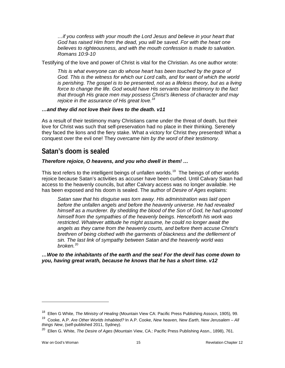*…if you confess with your mouth the Lord Jesus and believe in your heart that God has raised Him from the dead, you will be saved. For with the heart one believes to righteousness, and with the mouth confession is made to salvation. Romans 10:9-10*

Testifying of the love and power of Christ is vital for the Christian. As one author wrote:

*This is what everyone can do whose heart has been touched by the grace of*  God. This is the witness for which our Lord calls, and for want of which the world *is perishing. The gospel is to be presented, not as a lifeless theory, but as a living*  force to change the life. God would have His servants bear testimony to the fact *that through His grace men may possess Christ's likeness of character and may rejoice in the assurance of His great love.[18](#page-15-1)*

#### *…and they did not love their lives to the death. v11*

As a result of their testimony many Christians came under the threat of death, but their love for Christ was such that self-preservation had no place in their thinking. Serenely they faced the lions and the fiery stake. What a victory for Christ they presented! What a conquest over the evil one! They *overcame him by the word of their testimony.*

## <span id="page-15-0"></span>**Satan's doom is sealed**

#### *Therefore rejoice, O heavens, and you who dwell in them! …*

This text refers to the intelligent beings of unfallen worlds.<sup>19</sup> The beings of other worlds rejoice because Satan's activities as accuser have been curbed. Until Calvary Satan had access to the heavenly councils, but after Calvary access was no longer available. He has been exposed and his doom is sealed. The author of *Desire of Ages* explains:

*Satan saw that his disguise was torn away. His administration was laid open before the unfallen angels and before the heavenly universe. He had revealed himself as a murderer. By shedding the blood of the Son of God, he had uprooted himself from the sympathies of the heavenly beings. Henceforth his work was restricted. Whatever attitude he might assume, he could no longer await the angels as they came from the heavenly courts, and before them accuse Christ's brethren of being clothed with the garments of blackness and the defilement of sin. The last link of sympathy between Satan and the heavenly world was broken.*[20](#page-15-3)

*…Woe to the inhabitants of the earth and the sea! For the devil has come down to you, having great wrath, because he knows that he has a short time. v12*

<span id="page-15-1"></span><sup>18</sup> Ellen G White, *The Ministry of Healing* (Mountain View CA: Pacific Press Publishing Assocn, 1905), 99.

<span id="page-15-2"></span><sup>19</sup> Cooke, A.P. *Are Other Worlds Inhabited?* In A.P. Cooke, *New heaven, New Earth, New Jerusalem – All things New*, (self-published 2011, Sydney).

<span id="page-15-3"></span><sup>20</sup> Ellen G. White, *The Desire of Ages* (Mountain View, CA.: Pacific Press Publishing Assn., 1898), 761.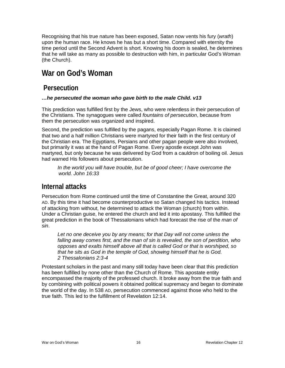Recognising that his true nature has been exposed, Satan now vents his fury (*wrath*) upon the human race. He knows he has but a short time. Compared with eternity the time period until the Second Advent is short. Knowing his doom is sealed, he determines that he will take as many as possible to destruction with him, in particular God's Woman (the Church).

## <span id="page-16-0"></span>**War on God's Woman**

## <span id="page-16-1"></span>**Persecution**

#### *…he persecuted the woman who gave birth to the male Child. v13*

This prediction was fulfilled first by the Jews, who were relentless in their persecution of the Christians. The synagogues were called *fountains of persecution*, because from them the persecution was organized and inspired.

Second, the prediction was fulfilled by the pagans, especially Pagan Rome. It is claimed that two and a half million Christians were martyred for their faith in the first century of the Christian era. The Egyptians, Persians and other pagan people were also involved, but primarily it was at the hand of Pagan Rome. Every apostle except John was martyred, but only because he was delivered by God from a cauldron of boiling oil. Jesus had warned His followers about persecution.

In the world you will have trouble, but be of good cheer; I have overcome the *world. John 16:33*

## <span id="page-16-2"></span>**Internal attacks**

Persecution from Rome continued until the time of Constantine the Great, around 320 AD. By this time it had become counterproductive so Satan changed his tactics. Instead of attacking from without, he determined to attack the Woman (church) from within. Under a Christian guise, he entered the church and led it into apostasy. This fulfilled the great prediction in the book of Thessalonians which had forecast the rise of the *man of sin*.

Let no one deceive you by any means; for that Day will not come unless the *falling away comes first, and the man of sin is revealed, the son of perdition, who opposes and exalts himself above all that is called God or that is worshiped, so that he sits as God in the temple of God, showing himself that he is God. 2 Thessalonians 2:3-4*

<span id="page-16-3"></span>Protestant scholars in the past and many still today have been clear that this prediction has been fulfilled by none other than the Church of Rome. This apostate entity encompassed the majority of the professed church. It broke away from the true faith and by combining with political powers it obtained political supremacy and began to dominate the world of the day. In 538 AD, persecution commenced against those who held to the true faith. This led to the fulfillment of Revelation 12:14.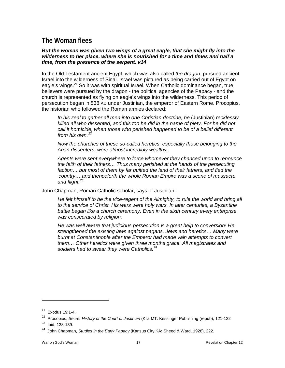## **The Woman flees**

#### *But the woman was given two wings of a great eagle, that she might fly into the wilderness to her place, where she is nourished for a time and times and half a time, from the presence of the serpent. v14*

In the Old Testament ancient Egypt, which was also called *the dragon*, pursued ancient Israel into the wilderness of Sinai. Israel was pictured as being carried out of Egypt on eagle's wings.<sup>[21](#page-17-1)</sup> So it was with spiritual Israel. When Catholic dominance began, true believers were pursued by the dragon - the political agencies of the Papacy - and the church is represented as flying on eagle's wings into the wilderness. This period of persecution began in 538 AD under Justinian, the emperor of Eastern Rome. Procopius, the historian who followed the Roman armies declared:

*In his zeal to gather all men into one Christian doctrine, he* (Justinian) *recklessly killed all who dissented, and this too he did in the name of piety. For he did not call it homicide, when those who perished happened to be of a belief different from his own.[22](#page-17-2)*

*Now the churches of these so-called heretics, especially those belonging to the Arian dissenters, were almost incredibly wealthy.*

*Agents were sent everywhere to force whomever they chanced upon to renounce the faith of their fathers… Thus many perished at the hands of the persecuting*  faction... but most of them by far quitted the land of their fathers, and fled the *country… and thenceforth the whole Roman Empire was a scene of massacre and flight.[23](#page-17-3)*

John Chapman, Roman Catholic scholar, says of Justinian:

*He felt himself to be the vice-regent of the Almighty, to rule the world and bring all to the service of Christ. His wars were holy wars. In later centuries, a Byzantine*  battle began like a church ceremony. Even in the sixth century every enterprise *was consecrated by religion.*

<span id="page-17-0"></span>*He was well aware that judicious persecution is a great help to conversion! He strengthened the existing laws against pagans, Jews and heretics… Many were burnt at Constantinople after the Emperor had made vain attempts to convert them… Other heretics were given three months grace. All magistrates and soldiers had to swear they were Catholics.[24](#page-17-4)*

<span id="page-17-1"></span><sup>21</sup> Exodus 19:1-4.

<span id="page-17-2"></span><sup>&</sup>lt;sup>22</sup> Procopius, *Secret History of the Court of Justinian* (Kila MT: Kessinger Publishing (repub), 121-122

<span id="page-17-3"></span><sup>&</sup>lt;sup>23</sup> Ibid. 138-139.

<span id="page-17-4"></span><sup>24</sup> John Chapman, *Studies in the Early Papacy* (Kansus City KA: Sheed & Ward, 1928), 222.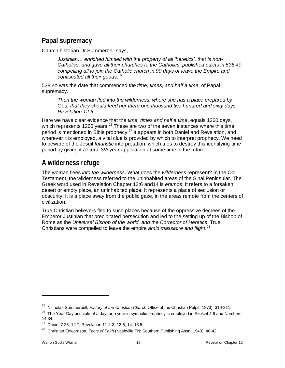## **Papal supremacy**

Church historian Dr Summerbell says,

*Justinian… enriched himself with the property of all 'heretics', that is non-Catholics, and gave all their churches to the Catholics; published edicts in 538 AD. compelling all to join the Catholic church in 90 days or leave the Empire and confiscated all their goods.[25](#page-18-1)*

538 AD was the date that commenced *the time, times, and half a time*, of Papal supremacy.

*Then the woman fled into the wilderness, where she has a place prepared by God, that they should feed her there one thousand two hundred and sixty days. Revelation 12:6*

Here we have clear evidence that the *time, times and half a time*, equals 1260 days, which represents 1[26](#page-18-2)0 years.  $26$  These are two of the seven instances where this time period is mentioned in Bible prophecy.<sup>[27](#page-18-3)</sup> It appears in both Daniel and Revelation, and wherever it is employed, a vital clue is provided by which to interpret prophecy. We need to beware of the Jesuit *futuristic* interpretation, which tries to destroy this identifying time period by giving it a literal 3½ year application at some time in the future.

## <span id="page-18-0"></span>**A wilderness refuge**

The woman flees *into the wilderness*. What does the *wilderness* represent? In the Old Testament, the wilderness referred to the uninhabited areas of the Sinai Peninsular. The Greek word used in Revelation Chapter 12:6 and14 is *eremos*. It refers to a forsaken desert or empty place, an uninhabited place. It represents a place of seclusion or obscurity. It is a place away from the public gaze, in the areas remote from the centers of civilization.

True Christian believers fled to such places because of the oppressive decrees of the Emperor Justinian that precipitated persecution and led to the setting up of the Bishop of Rome as the *Universal Bishop of the world, and the Corrector of Heretics*. True Christians were compelled to leave the empire *amid massacre and flight*. [28](#page-18-4)

<span id="page-18-1"></span><sup>25</sup> Nicholas Summerbell, *History of the Christian Church* Office of the Christian Pulpit, 1873), 310-311.

<span id="page-18-2"></span><sup>&</sup>lt;sup>26</sup> The Year-Day principle of a day for a year in symbolic prophecy is employed in Ezekiel 4:6 and Numbers 14:34.

<span id="page-18-3"></span><sup>27</sup> Daniel 7:25; 12:7, Revelation 11:2-3; 12:6, 14; 13:5.

<span id="page-18-4"></span><sup>28</sup> Christian Edwardson, *Facts of Faith* (Nashville TN: Southern Publishing Assn, 1943), 40-42.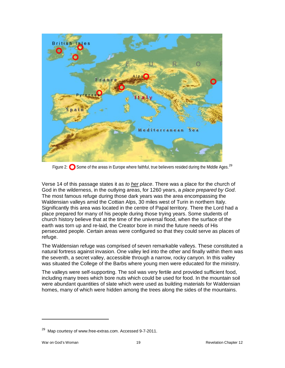

Figure 2:  $\bullet$  Some of the areas in Europe where faithful, true believers resided during the Middle Ages.<sup>[29](#page-19-0)</sup>

Verse 14 of this passage states it as *to her place*. There was a place for the church of God in the wilderness, in the outlying areas, for 1260 years, a *place prepared by God*. The most famous refuge during those dark years was the area encompassing the Waldensian valleys amid the Cottian Alps, 30 miles west of Turin in northern Italy. Significantly this area was located in the centre of Papal territory. There the Lord had a place prepared for many of his people during those trying years. Some students of church history believe that at the time of the universal flood, when the surface of the earth was torn up and re-laid, the Creator bore in mind the future needs of His persecuted people. Certain areas were configured so that they could serve as places of refuge.

The Waldensian refuge was comprised of seven remarkable valleys. These constituted a natural fortress against invasion. One valley led into the other and finally within them was the seventh, a secret valley, accessible through a narrow, rocky canyon. In this valley was situated the College of the Barbs where young men were educated for the ministry.

The valleys were self-supporting. The soil was very fertile and provided sufficient food, including many trees which bore nuts which could be used for food. In the mountain soil were abundant quantities of slate which were used as building materials for Waldensian homes, many of which were hidden among the trees along the sides of the mountains.

<span id="page-19-0"></span><sup>&</sup>lt;sup>29</sup> Map courtesy of www.free-extras.com. Accessed 9-7-2011.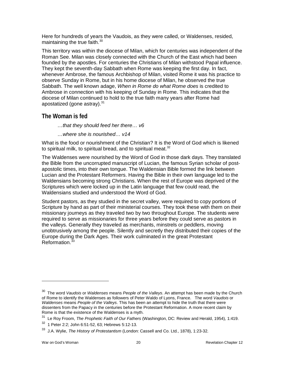Here for hundreds of years the Vaudois, as they were called, or Waldenses, resided, maintaining the true faith. $30$ 

This territory was within the diocese of Milan, which for centuries was independent of the Roman See. Milan was closely connected with the Church of the East which had been founded by the apostles. For centuries the Christians of Milan withstood Papal influence. They kept the seventh-day Sabbath when Rome was keeping the first day. In fact, whenever Ambrose, the famous Archbishop of Milan, visited Rome it was his practice to observe Sunday in Rome, but in his home diocese of Milan, he observed the true Sabbath. The well known adage, *When in Rome do what Rome does* is credited to Ambrose in connection with his keeping of Sunday in Rome. This indicates that the diocese of Milan continued to hold to the true faith many years after Rome had apostatized (gone astray).<sup>[31](#page-20-3)</sup>

#### <span id="page-20-0"></span>**The Woman is fed**

*…that they should feed her there… v6*

*…where she is nourished… v14*

What is the food or nourishment of the Christian? It is the Word of God which is likened to spiritual milk, to spiritual bread, and to spiritual meat. $32$ 

The Waldenses were nourished by the Word of God in those dark days. They translated the Bible from the uncorrupted manuscript of Lucian, the famous Syrian scholar of postapostolic times, into their own tongue. The Waldensian Bible formed the link between Lucian and the Protestant Reformers. Having the Bible in their own language led to the Waldensians becoming strong Christians. When the rest of Europe was deprived of the Scriptures which were locked up in the Latin language that few could read, the Waldensians studied and understood the Word of God.

Student pastors, as they studied in the secret valley, were required to copy portions of Scripture by hand as part of their ministerial courses. They took these with them on their missionary journeys as they traveled two by two throughout Europe. The students were required to serve as missionaries for three years before they could serve as pastors in the valleys. Generally they traveled as merchants, minstrels or peddlers, moving unobtrusively among the people. Silently and secretly they distributed their copies of the Europe during the Dark Ages. Their work culminated in the great Protestant Reformation.<sup>[33](#page-20-5)</sup>

<span id="page-20-2"></span><span id="page-20-1"></span><sup>30</sup> The word *Vaudois* or *Waldenses* means *People of the Valleys*. An attempt has been made by the Church of Rome to identify the Waldenses as followers of Peter Waldo of Lyons, France. The word *Vaudois* or *Waldenses* means *People of the Valleys*. This has been an attempt to hide the truth that there were dissenters from the Papacy in the centuries before the Protestant Reformation. A more recent claim by Rome is that the existence of the Waldenses is a myth.

<span id="page-20-3"></span><sup>31</sup> Le Roy Froom, *The Prophetic Faith of Our Fathers* (Washington, DC: Review and Herald, 1954), 1:419.

<span id="page-20-4"></span><sup>32 1</sup> Peter 2:2; John 6:51-52, 63; Hebrews 5:12-13.

<span id="page-20-5"></span><sup>33</sup> J.A. Wylie, *The History of Protestantism* (London: Cassell and Co. Ltd., 1878), 1:23-32.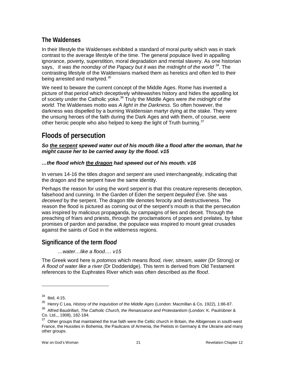## **The Waldenses**

In their lifestyle the Waldenses exhibited a standard of moral purity which was in stark contrast to the average lifestyle of the time. The general populace lived in appalling ignorance, poverty, superstition, moral degradation and mental slavery. As one historian says, *It was the noonday of the Papacy but it was the midnight of the world [34](#page-21-2)*. The contrasting lifestyle of the Waldensians marked them as heretics and often led to their being arrested and martyred.<sup>[35](#page-21-3)</sup>

We need to beware the current concept of the Middle Ages. Rome has invented a picture of that period which deceptively whitewashes history and hides the appalling lot of society under the Catholic yoke.[36](#page-21-4) Truly the Middle Ages were *the midnight of the world*. The Waldenses motto was *A light in the Darkness*. So often however, the darkness was dispelled by a burning Waldensian martyr dying at the stake. They were the unsung heroes of the faith during the Dark Ages and with them, of course, were other heroic people who also helped to keep the light of Truth burning. $37$ 

## <span id="page-21-0"></span>**Floods of persecution**

*So the serpent spewed water out of his mouth like a flood after the woman, that he might cause her to be carried away by the flood. v15*

#### *…the flood which the dragon had spewed out of his mouth. v16*

In verses 14-16 the titles *dragon* and *serpent* are used interchangeably, indicating that the dragon and the serpent have the same identity.

Perhaps the reason for using the word *serpent* is that this creature represents deception, falsehood and cunning. In the Garden of Eden the serpent *beguiled Eve.* She was *deceived* by the serpent. The dragon title denotes ferocity and destructiveness. The reason the flood is pictured as coming out of the serpent's mouth is that the persecution was inspired by malicious propaganda, by campaigns of lies and deceit. Through the preaching of friars and priests, through the proclamations of popes and prelates, by false promises of pardon and paradise, the populace was inspired to mount great crusades against the saints of God in the wilderness regions.

### <span id="page-21-1"></span>**Significance of the term** *flood*

*…water…like a flood…. v15*

The Greek word here is *potomos* which means *flood, river, stream, water* (Dr Strong) or *A flood of water like a river* (Dr Dodderidge). This term is derived from Old Testament references to the Euphrates River which was often described as *the flood*.

<span id="page-21-2"></span><sup>34</sup> Ibid, 4:15.

<span id="page-21-3"></span><sup>35</sup> Henry C Lea, *History of the Inquisition of the Middle Ages* (London: Macmillan & Co, 1922), 1:86-87.

<span id="page-21-4"></span><sup>36</sup> Alfred Baudrillart, *The Catholic Church, the Renaissance and Protestantism* (London: K. Paulrübner & Co. Ltd.,, 1908), 182-184.

<span id="page-21-5"></span> $37$  Other groups that maintained the true faith were the Celtic church in Britain, the Albigenses in south-west France, the Hussites in Bohemia, the Paulicans of Armenia, the Pietists in Germany & the Ukraine and many other groups.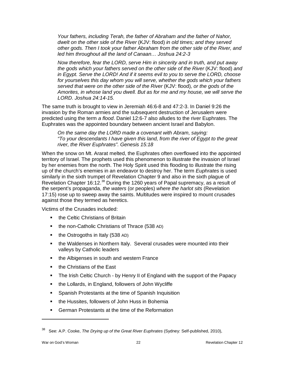*Your fathers, including Terah, the father of Abraham and the father of Nahor, dwelt on the other side of the River* (KJV: flood) *in old times; and they served other gods. Then I took your father Abraham from the other side of the River, and led him throughout all the land of Canaan… Joshua 24:2-3*

*Now therefore, fear the LORD, serve Him in sincerity and in truth, and put away the gods which your fathers served on the other side of the River* (KJV: flood) *and in Egypt. Serve the LORD! And if it seems evil to you to serve the LORD, choose for yourselves this day whom you will serve, whether the gods which your fathers served that were on the other side of the River* (KJV: flood)*, or the gods of the Amorites, in whose land you dwell. But as for me and my house, we will serve the LORD. Joshua 24:14-15.*

The same truth is brought to view in Jeremiah 46:6-8 and 47:2-3. In Daniel 9:26 the invasion by the Roman armies and the subsequent destruction of Jerusalem were predicted using the term *a flood*. Daniel 12:6-7 also alludes to the river Euphrates. The Euphrates was the appointed boundary between ancient Israel and Babylon.

*On the same day the LORD made a covenant with Abram, saying: "To your descendants I have given this land, from the river of Egypt to the great river, the River Euphrates". Genesis 15:18*

When the snow on Mt. Ararat melted, the Euphrates often overflowed into the appointed territory of Israel. The prophets used this phenomenon to illustrate the invasion of Israel by her enemies from the north. The Holy Spirit used this flooding to illustrate the rising up of the church's enemies in an endeavor to destroy her. The term *Euphrates* is used similarly in the sixth trumpet of Revelation Chapter 9 and also in the sixth plague of Revelation Chapter 16:12.[38](#page-22-0) During the 1260 years of Papal supremacy, as a result of the serpent's propaganda, *the waters* (or peoples) *where the harlot sits* (Revelation 17:15) rose up to sweep away the saints. Multitudes were inspired to mount crusades against those they termed as heretics.

Victims of the Crusades included:

- **the Celtic Christians of Britain**
- **the non-Catholic Christians of Thrace (538 AD)**
- $\blacksquare$  the Ostrogoths in Italy (538 AD)
- the Waldenses in Northern Italy. Several crusades were mounted into their valleys by Catholic leaders
- the Albigenses in south and western France
- the Christians of the East
- The Irish Celtic Church by Henry II of England with the support of the Papacy
- the Lollards, in England, followers of John Wycliffe
- Spanish Protestants at the time of Spanish Inquisition
- **the Hussites, followers of John Huss in Bohemia**
- **German Protestants at the time of the Reformation**

<span id="page-22-0"></span><sup>38</sup> See: A.P. Cooke, *The Drying up of the Great River Euphrates* (Sydney: Self-published, 2010),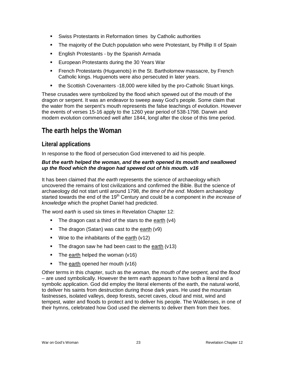- Swiss Protestants in Reformation times by Catholic authorities
- The majority of the Dutch population who were Protestant, by Phillip II of Spain
- **English Protestants by the Spanish Armada**
- **European Protestants during the 30 Years War**
- French Protestants (Huguenots) in the St. Bartholomew massacre, by French Catholic kings. Huguenots were also persecuted in later years.
- the Scottish Covenanters -18,000 were killed by the pro-Catholic Stuart kings.

These crusades were symbolized by the flood which spewed out of the mouth of the dragon or serpent. It was an endeavor to sweep away God's people. Some claim that the water from the serpent's mouth represents the false teachings of evolution. However the events of verses 15-16 apply to the 1260 year period of 538-1798. Darwin and modern evolution commenced well after 1844, longl after the close of this time period.

## <span id="page-23-0"></span>**The earth helps the Woman**

## <span id="page-23-1"></span>**Literal applications**

In response to the flood of persecution God intervened to aid his people.

#### *But the earth helped the woman, and the earth opened its mouth and swallowed up the flood which the dragon had spewed out of his mouth. v16*

It has been claimed that *the earth* represents the science of archaeology which uncovered the remains of lost civilizations and confirmed the Bible. But the science of archaeology did not start until around 1798, *the time of the end*. Modern archaeology started towards the end of the 19th Century and could be a component in *the increase of knowledge* which the prophet Daniel had predicted.

The word *earth* is used six times in Revelation Chapter 12:

- $\blacksquare$  The dragon cast a third of the stars to the earth (v4)
- The dragon (Satan) was cast to the earth  $(v9)$
- **Woe to the inhabitants of the earth (v12)**
- The dragon saw he had been cast to the earth (v13)
- $\blacksquare$  The earth helped the woman (v16)
- The earth opened her mouth (v16)

Other terms in this chapter, such as the *woman,* the *mouth of the serpent,* and the *flood* – are used symbolically. However the term *earth* appears to have both a literal and a symbolic application. God did employ the literal elements of the earth, the natural world, to deliver his saints from destruction during those dark years. He used the mountain fastnesses, isolated valleys, deep forests, secret caves, cloud and mist, wind and tempest, water and floods to protect and to deliver his people. The Waldenses, in one of their hymns, celebrated how God used the elements to deliver them from their foes.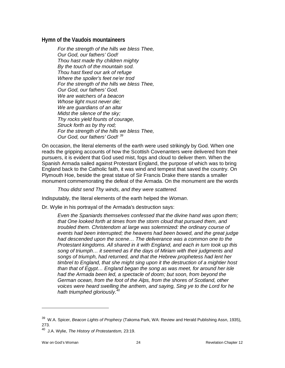#### **Hymn of the Vaudois mountaineers**

*For the strength of the hills we bless Thee, Our God, our fathers' God! Thou hast made thy children mighty By the touch of the mountain sod. Thou hast fixed our ark of refuge Where the spoiler's feet ne'er trod For the strength of the hills we bless Thee, Our God, our fathers' God. We are watchers of a beacon Whose light must never die; We are guardians of an altar Midst the silence of the sky; Thy rocks yield founts of courage, Struck forth as by thy rod; For the strength of the hills we bless Thee, Our God, our fathers' God! [39](#page-24-0)*

On occasion, the literal elements of the earth were used strikingly by God. When one reads the gripping accounts of how the Scottish Covenanters were delivered from their pursuers, it is evident that God used mist, fogs and cloud to deliver them. When the Spanish Armada sailed against Protestant England, the purpose of which was to bring England back to the Catholic faith, it was wind and tempest that saved the country. On Plymouth Hoe, beside the great statue of Sir Francis Drake there stands a smaller monument commemorating the defeat of the Armada. On the monument are the words

*Thou didst send Thy winds, and they were scattered.*

Indisputably, the literal elements of the earth helped the *Woman*.

Dr. Wylie in his portrayal of the Armada's destruction says:

*Even the Spaniards themselves confessed that the divine hand was upon them; that One looked forth at times from the storm cloud that pursued them, and troubled them. Christendom at large was solemnized: the ordinary course of events had been interrupted; the heavens had been bowed, and the great judge had descended upon the scene… The deliverance was a common one to the Protestant kingdoms. All shared in it with England, and each in turn took up this song of triumph… it seemed as if the days of Miriam with their judgments and songs of triumph, had returned, and that the Hebrew prophetess had lent her timbrel to England, that she might sing upon it the destruction of a mightier host than that of Egypt… England began the song as was meet, for around her isle had the Armada been led, a spectacle of doom; but soon, from beyond the German ocean, from the foot of the Alps, from the shores of Scotland, other voices were heard swelling the anthem, and saying, Sing ye to the Lord for he hath triumphed gloriously.[40](#page-24-1)*

<span id="page-24-0"></span><sup>39</sup> W.A. Spicer, *Beacon Lights of Prophecy* (Takoma Park, WA: Review and Herald Publishing Assn, 1935), 273.

<span id="page-24-1"></span><sup>40</sup> J.A. Wylie, *The History of Protestantism,* 23:19.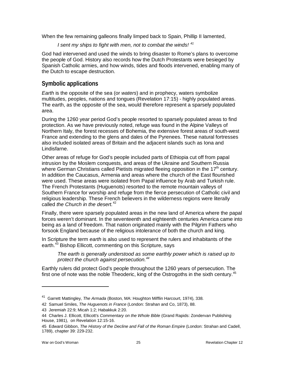When the few remaining galleons finally limped back to Spain, Phillip II lamented,

*I sent my ships to fight with men, not to combat the winds! [41](#page-25-1)*

God had intervened and used the winds to bring disaster to Rome's plans to overcome the people of God. History also records how the Dutch Protestants were besieged by Spanish Catholic armies, and how winds, tides and floods intervened, enabling many of the Dutch to escape destruction.

## <span id="page-25-0"></span>**Symbolic applications**

*Earth* is the opposite of the sea (or *waters*) and in prophecy, waters symbolize multitudes, peoples, nations and tongues (Revelation 17:15) - highly populated areas. The earth, as the opposite of the sea, would therefore represent a sparsely populated area.

During the 1260 year period God's people resorted to sparsely populated areas to find protection. As we have previously noted, refuge was found in the Alpine Valleys of Northern Italy, the forest recesses of Bohemia, the extensive forest areas of south-west France and extending to the glens and dales of the Pyrenees. These natural fortresses also included isolated areas of Britain and the adjacent islands such as Iona and Lindisfarne.

Other areas of refuge for God's people included parts of Ethiopia cut off from papal intrusion by the Moslem conquests, and areas of the Ukraine and Southern Russia where German Christians called Pietists migrated fleeing opposition in the 17<sup>th</sup> century. In addition the Caucasus, Armenia and areas where the church of the East flourished were used. These areas were isolated from Papal influence by Arab and Turkish rule. The French Protestants (Huguenots) resorted to the remote mountain valleys of Southern France for worship and refuge from the fierce persecution of Catholic civil and religious leadership. These French believers in the wilderness regions were literally called *the Church in the desert.*[42](#page-25-2)

Finally, there were sparsely populated areas in the new land of America where the papal forces weren't dominant. In the seventeenth and eighteenth centuries America came into being as a land of freedom. That nation originated mainly with the Pilgrim Fathers who forsook England because of the religious intolerance of both the church and king.

In Scripture the term *earth* is also used to represent the rulers and inhabitants of the earth.<sup>[43](#page-25-3)</sup> Bishop Ellicott, commenting on this Scripture, says

*The earth is generally understood as some earthly power which is raised up to protect the church against persecution.[44](#page-25-4)*

Earthly rulers did protect God's people throughout the 1260 years of persecution. The first one of note was the noble Theoderic, king of the Ostrogoths in the sixth century.<sup>[45](#page-25-5)</sup>

<span id="page-25-1"></span><sup>41</sup> Garrett Mattingley, *The Armada* (Boston, MA: Houghton Mifflin Harcourt, 1974), 338.

<span id="page-25-2"></span><sup>42</sup> Samuel Smiles, *The Huguenots in France* (London: Strahan and Co, 1873), 88.

<sup>43</sup> Jeremiah 22:9; Micah 1:2; Habakkuk 2:20.

<span id="page-25-4"></span><span id="page-25-3"></span><sup>44</sup> Charles J. Ellicott, Ellicott's *Commentary on the Whole Bible* (Grand Rapids: Zondervan Publishing House, 1981), on Revelation 12:15-16.

<span id="page-25-5"></span><sup>45</sup> Edward Gibbon, *The History of the Decline and Fall of the Roman Empire* (London: Strahan and Cadell, 1789), chapter 39: 229-232.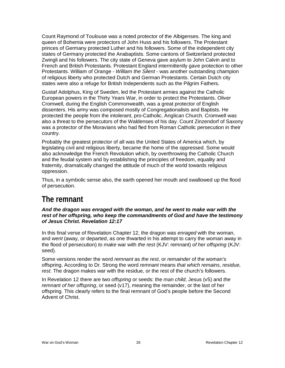Count Raymond of Toulouse was a noted protector of the Albigenses. The king and queen of Bohemia were protectors of John Huss and his followers. The Protestant princes of Germany protected Luther and his followers. Some of the independent city states of Germany protected the Anabaptists. Some cantons of Switzerland protected Zwingli and his followers. The city state of Geneva gave asylum to John Calvin and to French and British Protestants. Protestant England intermittently gave protection to other Protestants. William of Orange - *William the Silent* - was another outstanding champion of religious liberty who protected Dutch and German Protestants. Certain Dutch city states were also a refuge for British Independents such as the Pilgrim Fathers.

Gustaf Adolphus, King of Sweden, led the Protestant armies against the Catholic European powers in the Thirty Years War, in order to protect the Protestants. Oliver Cromwell, during the English Commonwealth, was a great protector of English dissenters. His army was composed mostly of Congregationalists and Baptists. He protected the people from the intolerant, pro-Catholic, Anglican Church. Cromwell was also a threat to the persecutors of the Waldenses of his day. Count Zinzendorf of Saxony was a protector of the Moravians who had fled from Roman Catholic persecution in their country.

Probably the greatest protector of all was the United States of America which, by legislating civil and religious liberty, became the home of the oppressed. Some would also acknowledge the French Revolution which, by overthrowing the Catholic Church and the feudal system and by establishing the principles of freedom, equality and fraternity, dramatically changed the attitude of much of the world towards religious oppression.

Thus, in a symbolic sense also, the earth opened her mouth and swallowed up the flood of persecution.

## <span id="page-26-0"></span>**The remnant**

#### *And the dragon was enraged with the woman, and he went to make war with the rest of her offspring, who keep the commandments of God and have the testimony of Jesus Christ. Revelation 12:17*

In this final verse of Revelation Chapter 12, the dragon was *enraged* with the woman, and *went* (away, or departed, as one thwarted in his attempt to carry the woman away in the flood of persecution) *to make* war with *the rest* (KJV: remnant) *of her offspring* (KJV: seed).

Some versions render the word *remnant* as *the rest*, or *remainder* of the woman's offspring. According to Dr. Strong the word *remnant* means *that which remains, residue, rest*. The dragon makes war with the residue, or the rest of the church's followers.

<span id="page-26-1"></span>In Revelation 12 there are two *offspring* or seeds: the *man child*, Jesus (v5) and *the remnant of her offspring*, or seed (v17), meaning the remainder, or the last of her offspring. This clearly refers to the final remnant of God's people before the Second Advent of Christ.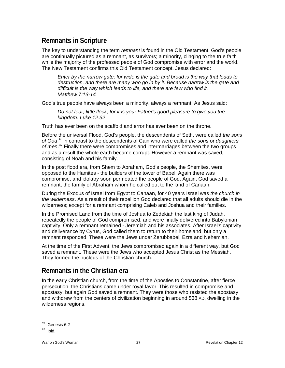## **Remnants in Scripture**

The key to understanding the term *remnant* is found in the Old Testament. God's people are continually pictured as a remnant, as survivors; a minority, clinging to the true faith while the majority of the professed people of God compromise with error and the world. The New Testament confirms this Old Testament concept. Jesus declared:

*Enter by the narrow gate; for wide is the gate and broad is the way that leads to destruction, and there are many who go in by it. Because narrow is the gate and difficult is the way which leads to life, and there are few who find it. Matthew 7:13-14*

God's true people have always been a minority, always a remnant. As Jesus said:

*Do not fear, little flock, for it is your Father's good pleasure to give you the kingdom. Luke 12:32*

Truth has ever been on the scaffold and error has ever been on the throne.

Before the universal Flood, God's people, the descendents of Seth, were called *the sons of God* [46](#page-27-1) in contrast to the descendents of Cain who were called *the sons* or *daughters of men*. [47](#page-27-2) Finally there were compromises and intermarriages between the two groups and as a result the whole earth became corrupt. However a remnant was saved, consisting of Noah and his family.

In the post flood era, from Shem to Abraham, God's people, the Shemites, were opposed to the Hamites - the builders of the tower of Babel. Again there was compromise, and idolatry soon permeated the people of God. Again, God saved a remnant, the family of Abraham whom he called out to the land of Canaan.

During the Exodus of Israel from Egypt to Canaan, for 40 years Israel was *the church in the wilderness*. As a result of their rebellion God declared that all adults should die in the wilderness; except for a remnant comprising Caleb and Joshua and their families.

In the Promised Land from the time of Joshua to Zedekiah the last king of Judah, repeatedly the people of God compromised, and were finally delivered into Babylonian captivity. Only a remnant remained - Jeremiah and his associates. After Israel's captivity and deliverance by Cyrus, God called them to return to their homeland, but only a remnant responded. These were the Jews under Zerubbabel, Ezra and Nehemiah.

At the time of the First Advent, the Jews compromised again in a different way, but God saved a remnant. These were the Jews who accepted Jesus Christ as the Messiah. They formed the nucleus of the Christian church.

## <span id="page-27-0"></span>**Remnants in the Christian era**

In the early Christian church, from the time of the Apostles to Constantine, after fierce persecution, the Christians came under royal favor. This resulted in compromise and apostasy, but again God saved a remnant. They were those who resisted the apostasy and withdrew from the centers of civilization beginning in around 538 AD, dwelling in the wilderness regions.

<span id="page-27-1"></span> $46$  Genesis 6:2

<span id="page-27-2"></span> $47$  Ibid.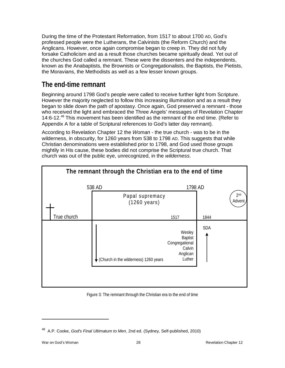During the time of the Protestant Reformation, from 1517 to about 1700 AD, God's professed people were the Lutherans, the Calvinists (the Reform Church) and the Anglicans. However, once again compromise began to creep in. They did not fully forsake Catholicism and as a result those churches became spiritually dead. Yet out of the churches God called a remnant. These were the dissenters and the independents, known as the Anabaptists, the Brownists or Congregationalists, the Baptists, the Pietists, the Moravians, the Methodists as well as a few lesser known groups.

## <span id="page-28-0"></span>**The end-time remnant**

Beginning around 1798 God's people were called to receive further light from Scripture. However the majority neglected to follow this increasing illumination and as a result they began to slide down the path of apostasy. Once again, God preserved a remnant - those who received the light and embraced the Three Angels' messages of Revelation Chapter 14:6-12.<sup>[48](#page-28-1)</sup> This movement has been identified as the remnant of the end time. (Refer to Appendix A for a table of Scriptural references to God's latter day remnant).

According to Revelation Chapter 12 the *Woman* - the true church - was to be in the wilderness, in obscurity, for 1260 years from 538 to 1798 AD. This suggests that while Christian denominations were established prior to 1798, and God used those groups mightily in His cause, these bodies did not comprise the Scriptural true church. That church was out of the public eye, unrecognized, in the *wilderness*.



#### Figure 3: The remnant through the Christian era to the end of time

<span id="page-28-1"></span><sup>48</sup> A.P. Cooke, *God's Final Ultimatum to Men,* 2nd ed. (Sydney, Self-published, 2010)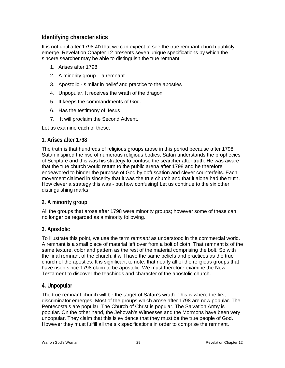## <span id="page-29-0"></span>**Identifying characteristics**

It is not until after 1798 AD that we can expect to see the true remnant church publicly emerge. Revelation Chapter 12 presents seven unique specifications by which the sincere searcher may be able to distinguish the true remnant.

- 1. Arises after 1798
- 2. A minority group a remnant
- 3. Apostolic similar in belief and practice to the apostles
- 4. Unpopular. It receives the wrath of the dragon
- 5. It keeps the commandments of God.
- 6. Has the testimony of Jesus
- 7. It will proclaim the Second Advent.

Let us examine each of these.

#### **1. Arises after 1798**

The truth is that hundreds of religious groups arose in this period because after 1798 Satan inspired the rise of numerous religious bodies. Satan understands the prophecies of Scripture and this was his strategy to confuse the searcher after truth. He was aware that the true church would return to the public arena after 1798 and he therefore endeavored to hinder the purpose of God by obfuscation and clever counterfeits. Each movement claimed in sincerity that it was the true church and that it alone had the truth. How clever a strategy this was - but how confusing! Let us continue to the six other distinguishing marks.

#### **2. A minority group**

All the groups that arose after 1798 were minority groups; however some of these can no longer be regarded as a minority following.

#### **3. Apostolic**

To illustrate this point, we use the term *remnant* as understood in the commercial world. A remnant is a small piece of material left over from a bolt of cloth. That remnant is of the same texture, color and pattern as the rest of the material comprising the bolt. So with the final remnant of the church, it will have the same beliefs and practices as the true church of the apostles. It is significant to note, that nearly all of the religious groups that have risen since 1798 claim to be apostolic. We must therefore examine the New Testament to discover the teachings and character of the apostolic church.

#### **4. Unpopular**

The true remnant church will be the target of Satan's wrath. This is where the first discriminator emerges. Most of the groups which arose after 1798 are now popular. The Pentecostals are popular. The Church of Christ is popular. The Salvation Army is popular. On the other hand, the Jehovah's Witnesses and the Mormons have been very unpopular. They claim that this is evidence that they must be the true people of God. However they must fulfill all the six specifications in order to comprise the remnant.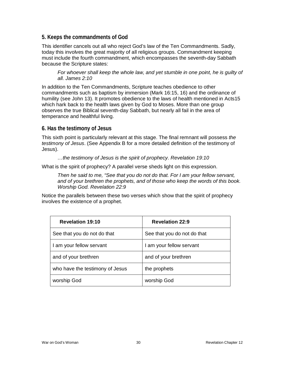#### **5. Keeps the commandments of God**

This identifier cancels out all who reject God's law of the Ten Commandments. Sadly, today this involves the great majority of all religious groups. Commandment keeping must include the fourth commandment, which encompasses the seventh-day Sabbath because the Scripture states:

For whoever shall keep the whole law, and yet stumble in one point, he is quilty of *all. James 2:10*

In addition to the Ten Commandments, Scripture teaches obedience to other commandments such as baptism by immersion (Mark 16:15, 16) and the ordinance of humility (see John 13). It promotes obedience to the laws of health mentioned in Acts15 which hark back to the health laws given by God to Moses. More than one group observes the true Biblical seventh-day Sabbath, but nearly all fail in the area of temperance and healthful living.

**6. Has the testimony of Jesus**

This sixth point is particularly relevant at this stage. The final remnant will possess *the testimony of Jesus*. (See Appendix B for a more detailed definition of the testimony of Jesus).

*…the testimony of Jesus is the spirit of prophecy. Revelation 19:10*

What is the spirit of prophecy? A parallel verse sheds light on this expression.

*Then he said to me, "See that you do not do that. For I am your fellow servant, and of your brethren the prophets, and of those who keep the words of this book. Worship God. Revelation 22:9*

Notice the parallels between these two verses which show that the spirit of prophecy involves the existence of a prophet.

| <b>Revelation 19:10</b>         | <b>Revelation 22:9</b>      |
|---------------------------------|-----------------------------|
| See that you do not do that     | See that you do not do that |
| I am your fellow servant        | am your fellow servant      |
| and of your brethren            | and of your brethren        |
| who have the testimony of Jesus | the prophets                |
| worship God                     | worship God                 |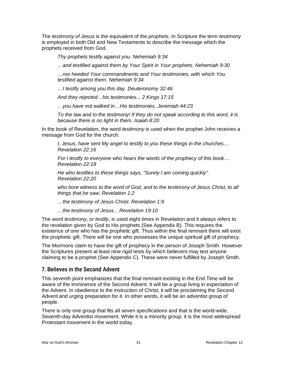The *testimony of Jesus* is the equivalent of *the prophets*. In Scripture the term *testimony* is employed in both Old and New Testaments to describe the message which the prophets received from God.

*Thy prophets testify against you. Nehemiah 9:34*

*…and testified against them by Your Spirit in Your prophets. Nehemiah 9:30*

*…nor heeded Your commandments and Your testimonies, with which You testified against them. Nehemiah 9:34* 

*…I testify among you this day. Deuteronomy 32:46*

*And they rejected…his testimonies... 2 Kings 17:15*

*…you have not walked in…His testimonies. Jeremiah 44:23*

*To the law and to the testimony! If they do not speak according to this word, it is because there is no light in them. Isaiah 8:20*

In the book of Revelation, the word *testimony* is used when the prophet John receives a message from God for the church.

*I, Jesus, have sent My angel to testify to you these things in the churches… Revelation 22:16*

*For I testify to everyone who hears the words of the prophecy of this book… Revelation 22:18*

*He who testifies to these things says, "Surely I am coming quickly". Revelation 22:20*

who bore witness to the word of God, and to the testimony of Jesus Christ, to all *things that he saw. Revelation 1:2*

*…the testimony of Jesus Christ. Revelation 1:9*

*…the testimony of Jesus... Revelation 19:10*

The word *testimony*, or *testify*, is used eight times in Revelation and it always refers to the revelation given by God to His prophets (See Appendix B). This requires the existence of one who has the prophetic gift. Thus within the final remnant there will exist the prophetic gift. There will be one who possesses the unique spiritual gift of prophecy.

The Mormons claim to have the gift of prophecy in the person of Joseph Smith. However the Scriptures present at least nine rigid tests by which believers may test anyone claiming to be a prophet (See Appendix C). These were never fulfilled by Joseph Smith.

#### **7. Believes in the Second Advent**

This seventh point emphasizes that the final remnant existing in the End Time will be aware of the imminence of the Second Advent. It will be a group living in expectation of the Advent. In obedience to the instruction of Christ, it will be proclaiming the Second Advent and urging preparation for it. In other words, it will be an adventist group of people.

There is only one group that fits all seven specifications and that is the world-wide, Seventh-day Adventist movement. While it is a minority group, it is the most widespread Protestant movement in the world today.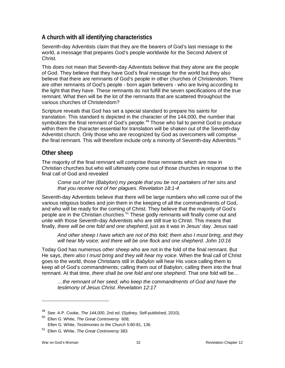## <span id="page-32-0"></span>**A church with all identifying characteristics**

Seventh-day Adventists claim that they are the bearers of God's last message to the world, a message that prepares God's people worldwide for the Second Advent of Christ.

This does not mean that Seventh-day Adventists believe that they alone are the people of God. They believe that they have God's final message for the world but they also believe that there are remnants of God's people in other churches of Christendom. There are other remnants of God's people - born again believers - who are living according to the light that they have. These remnants do not fulfill the seven specifications of the true remnant. What then will be the lot of the remnants that are scattered throughout the various churches of Christendom?

Scripture reveals that God has set a special standard to prepare his saints for translation. This standard is depicted in the character of the 144,000, the number that symbolizes the final remnant of God's people.<sup>[49](#page-32-2)</sup> Those who fail to permit God to produce within them the character essential for translation will be shaken out of the Seventh-day Adventist church. Only those who are recognized by God as overcomers will comprise the final remnant. This will therefore include only a minority of Seventh-day Adventists.<sup>[50](#page-32-3)</sup>

### <span id="page-32-1"></span>**Other sheep**

The majority of the final remnant will comprise those remnants which are now in Christian churches but who will ultimately come out of those churches in response to the final call of God and revealed

*Come out of her (Babylon) my people that you be not partakers of her sins and that you receive not of her plagues. Revelation 18:1-4*

Seventh-day Adventists believe that there will be large numbers who will come out of the various religious bodies and join them in the keeping of all the commandments of God, and who will be ready for the coming of Christ. They believe that the majority of God's people are in the Christian churches.<sup>[51](#page-32-4)</sup> These godly remnants will finally come out and unite with those Seventh-day Adventists who are still true to Christ. This means that finally, *there will be one fold and one shepherd*, just as it was in Jesus' day. Jesus said

*And other sheep I have which are not of this fold; them also I must bring, and they will hear My voice; and there will be one flock and one shepherd. John 10:16*

Today God has numerous *other sheep* who are not in the fold of the final remnant. But He says, *them also I must bring and they will hear my voice*. When the final call of Christ goes to the world, those Christians still in *Babylon* will hear His voice calling them to keep all of God's commandments; calling them out of Babylon; calling them into the final remnant. At that time, *there shall be one fold and one shepherd*. That one fold will be…

*…the remnant of her seed, who keep the commandments of God and have the testimony of Jesus Christ. Revelation 12:17*

<sup>49</sup> See: A.P. Cooke, *The 144,000,* 2nd ed. (Sydney, Self-published, 2010),

<span id="page-32-3"></span><span id="page-32-2"></span><sup>50</sup> Ellen G. White, *The Great Controversy* 608; Ellen G. White, *Testimonies to the Church* 5:80-81, 136.

<span id="page-32-4"></span><sup>51</sup> Ellen G. White, *The Great Controversy* 383.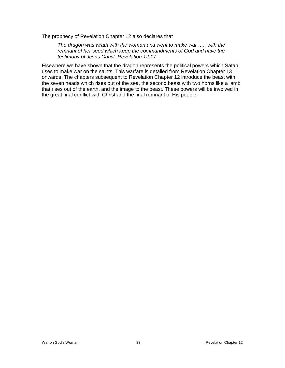The prophecy of Revelation Chapter 12 also declares that

*The dragon was wrath with the woman and went to make war ….. with the remnant of her seed which keep the commandments of God and have the testimony of Jesus Christ. Revelation 12:17*

<span id="page-33-0"></span>Elsewhere we have shown that the dragon represents the political powers which Satan uses to make war on the saints. This warfare is detailed from Revelation Chapter 13 onwards. The chapters subsequent to Revelation Chapter 12 introduce the beast with the seven heads which rises out of the sea, the second beast with two horns like a lamb that rises out of the earth, and the image to the beast. These powers will be involved in the great final conflict with Christ and the final remnant of His people.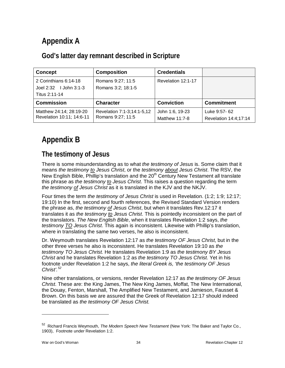## **Appendix A**

## <span id="page-34-0"></span>**God's latter day remnant described in Scripture**

| <b>Concept</b>             | <b>Composition</b>         | <b>Credentials</b> |                       |
|----------------------------|----------------------------|--------------------|-----------------------|
| 2 Corinthians 6:14-18      | Romans 9:27; 11:5          | Revelation 12:1-17 |                       |
| Joel $2:32$ I John $3:1-3$ | Romans 3:2; 18:1-5         |                    |                       |
| Titus 2:11-14              |                            |                    |                       |
| <b>Commission</b>          | <b>Character</b>           | <b>Conviction</b>  | <b>Commitment</b>     |
| Matthew 24:14; 28:19-20    | Revelation 7:1-3;14:1-5,12 | John 1:6, 19-23    | Luke 9:57-62          |
| Revelation 10:11; 14:6-11  | Romans 9:27; 11:5          | Matthew 11:7-8     | Revelation 14:4;17:14 |

## <span id="page-34-1"></span>**Appendix B**

## <span id="page-34-2"></span>**The testimony of Jesus**

There is some misunderstanding as to what *the testimony of Jesus* is. Some claim that it means *the testimony to Jesus Christ*, or the *testimony about Jesus Christ*. The RSV, the New English Bible, Phillip's translation and the  $20<sup>th</sup>$  Century New Testament all translate this phrase as *the testimony to Jesus Christ*. This raises a question regarding the term *the testimony of Jesus Christ* as it is translated in the KJV and the NKJV.

Four times the term *the testimony of Jesus Christ* is used in Revelation. (1:2; 1:9; 12:17; 19:10) In the first, second and fourth references, the Revised Standard Version renders the phrase as, *the testimony of Jesus Christ*, but when it translates Rev.12:17 it translates it as *the testimony to Jesus Christ*. This is pointedly inconsistent on the part of the translators. *The New English Bible*, when it translates Revelation 1:2 says, *the testimony TO Jesus Christ*. This again is inconsistent. Likewise with Phillip's translation, where in translating the same two verses, he also is inconsistent.

Dr. Weymouth translates Revelation 12:17 as *the testimony OF Jesus Christ*, but in the other three verses he also is inconsistent. He translates Revelation 19:10 as *the testimony TO Jesus Christ.* He translates Revelation 1:9 as *the testimony BY Jesus Christ* and he translates Revelation 1:2 as *the testimony TO Jesus Christ*. Yet in his footnote under Revelation 1:2 he says, *the literal Greek is, 'the testimony OF Jesus Christ'.[52](#page-34-3)*

Nine other translations, or versions, render Revelation 12:17 as *the testimony OF Jesus Christ*. These are: the King James, The New King James, Moffat, The New International, the Douay, Fenton, Marshall, The Amplified New Testament, and Jamieson, Fausset & Brown. On this basis we are assured that the Greek of Revelation 12:17 should indeed be translated as *the testimony OF Jesus Christ.*

<span id="page-34-3"></span><sup>52</sup> Richard Francis Weymouth, *The Modern Speech New Testament* (New York: The Baker and Taylor Co., 1903), Footnote under Revelation 1:2.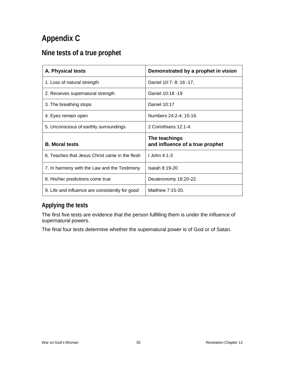## **Appendix C**

## <span id="page-35-0"></span>**Nine tests of a true prophet**

| A. Physical tests                               | Demonstrated by a prophet in vision              |
|-------------------------------------------------|--------------------------------------------------|
| 1. Loss of natural strength                     | Daniel 10:7- 8; 16 -17,                          |
| 2. Receives supernatural strength               | Daniel 10:18 -19                                 |
| 3. The breathing stops                          | Daniel 10:17                                     |
| 4. Eyes remain open                             | Numbers 24:2-4; 15-16.                           |
| 5. Unconscious of earthly surroundings          | 2 Corinthians 12:1-4.                            |
| <b>B.</b> Moral tests                           | The teachings<br>and influence of a true prophet |
| 6. Teaches that Jesus Christ came in the flesh  | $I$ John 4:1-3                                   |
| 7. In harmony with the Law and the Testimony    | Isaiah 8:19-20                                   |
| 8. His/her predictions come true                | Deuteronomy 18:20-22.                            |
| 9. Life and influence are consistently for good | Matthew 7:15-20.                                 |

## <span id="page-35-1"></span>**Applying the tests**

The first five tests are evidence that the person fulfilling them is under the influence of supernatural powers.

The final four tests determine whether the supernatural power is of God or of Satan.